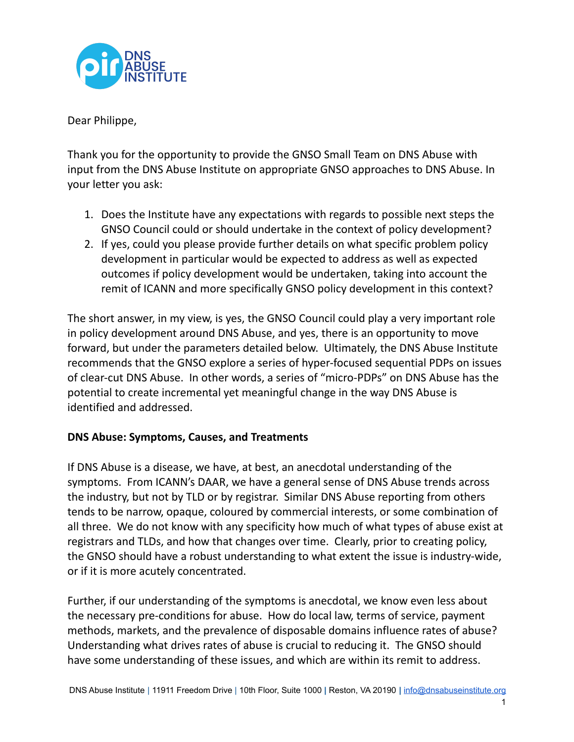

Dear Philippe,

Thank you for the opportunity to provide the GNSO Small Team on DNS Abuse with input from the DNS Abuse Institute on appropriate GNSO approaches to DNS Abuse. In your letter you ask:

- 1. Does the Institute have any expectations with regards to possible next steps the GNSO Council could or should undertake in the context of policy development?
- 2. If yes, could you please provide further details on what specific problem policy development in particular would be expected to address as well as expected outcomes if policy development would be undertaken, taking into account the remit of ICANN and more specifically GNSO policy development in this context?

The short answer, in my view, is yes, the GNSO Council could play a very important role in policy development around DNS Abuse, and yes, there is an opportunity to move forward, but under the parameters detailed below. Ultimately, the DNS Abuse Institute recommends that the GNSO explore a series of hyper-focused sequential PDPs on issues of clear-cut DNS Abuse. In other words, a series of "micro-PDPs" on DNS Abuse has the potential to create incremental yet meaningful change in the way DNS Abuse is identified and addressed.

# **DNS Abuse: Symptoms, Causes, and Treatments**

If DNS Abuse is a disease, we have, at best, an anecdotal understanding of the symptoms. From ICANN's DAAR, we have a general sense of DNS Abuse trends across the industry, but not by TLD or by registrar. Similar DNS Abuse reporting from others tends to be narrow, opaque, coloured by commercial interests, or some combination of all three. We do not know with any specificity how much of what types of abuse exist at registrars and TLDs, and how that changes over time. Clearly, prior to creating policy, the GNSO should have a robust understanding to what extent the issue is industry-wide, or if it is more acutely concentrated.

Further, if our understanding of the symptoms is anecdotal, we know even less about the necessary pre-conditions for abuse. How do local law, terms of service, payment methods, markets, and the prevalence of disposable domains influence rates of abuse? Understanding what drives rates of abuse is crucial to reducing it. The GNSO should have some understanding of these issues, and which are within its remit to address.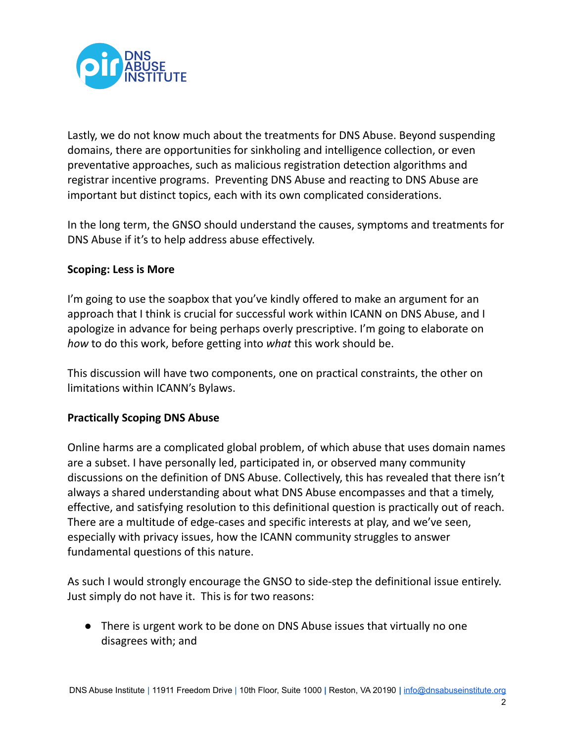

Lastly, we do not know much about the treatments for DNS Abuse. Beyond suspending domains, there are opportunities for sinkholing and intelligence collection, or even preventative approaches, such as malicious registration detection algorithms and registrar incentive programs. Preventing DNS Abuse and reacting to DNS Abuse are important but distinct topics, each with its own complicated considerations.

In the long term, the GNSO should understand the causes, symptoms and treatments for DNS Abuse if it's to help address abuse effectively.

## **Scoping: Less is More**

I'm going to use the soapbox that you've kindly offered to make an argument for an approach that I think is crucial for successful work within ICANN on DNS Abuse, and I apologize in advance for being perhaps overly prescriptive. I'm going to elaborate on *how* to do this work, before getting into *what* this work should be.

This discussion will have two components, one on practical constraints, the other on limitations within ICANN's Bylaws.

### **Practically Scoping DNS Abuse**

Online harms are a complicated global problem, of which abuse that uses domain names are a subset. I have personally led, participated in, or observed many community discussions on the definition of DNS Abuse. Collectively, this has revealed that there isn't always a shared understanding about what DNS Abuse encompasses and that a timely, effective, and satisfying resolution to this definitional question is practically out of reach. There are a multitude of edge-cases and specific interests at play, and we've seen, especially with privacy issues, how the ICANN community struggles to answer fundamental questions of this nature.

As such I would strongly encourage the GNSO to side-step the definitional issue entirely. Just simply do not have it. This is for two reasons:

● There is urgent work to be done on DNS Abuse issues that virtually no one disagrees with; and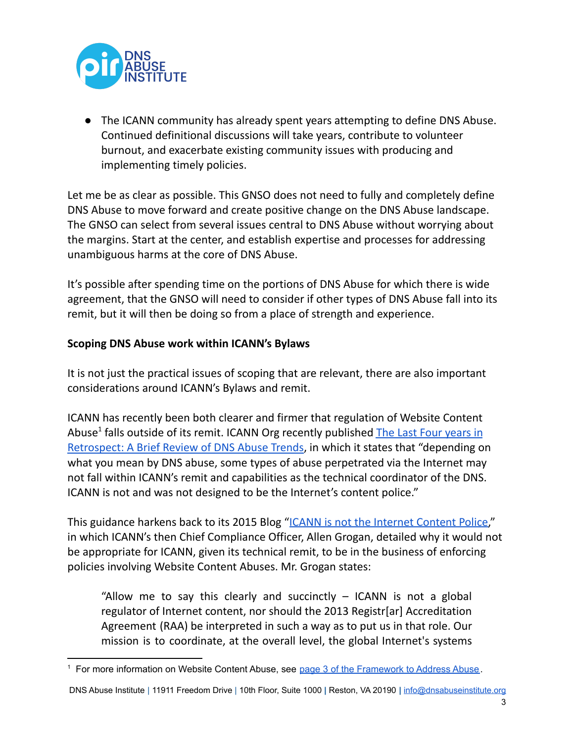

● The ICANN community has already spent years attempting to define DNS Abuse. Continued definitional discussions will take years, contribute to volunteer burnout, and exacerbate existing community issues with producing and implementing timely policies.

Let me be as clear as possible. This GNSO does not need to fully and completely define DNS Abuse to move forward and create positive change on the DNS Abuse landscape. The GNSO can select from several issues central to DNS Abuse without worrying about the margins. Start at the center, and establish expertise and processes for addressing unambiguous harms at the core of DNS Abuse.

It's possible after spending time on the portions of DNS Abuse for which there is wide agreement, that the GNSO will need to consider if other types of DNS Abuse fall into its remit, but it will then be doing so from a place of strength and experience.

# **Scoping DNS Abuse work within ICANN's Bylaws**

It is not just the practical issues of scoping that are relevant, there are also important considerations around ICANN's Bylaws and remit.

ICANN has recently been both clearer and firmer that regulation of Website Content Abuse<sup>1</sup> falls outside of its remit. ICANN Org recently published The Last Four [years](https://www.icann.org/en/system/files/files/last-four-years-retrospect-brief-review-dns-abuse-trends-22mar22-en.pdf) in [Retrospect:](https://www.icann.org/en/system/files/files/last-four-years-retrospect-brief-review-dns-abuse-trends-22mar22-en.pdf) A Brief Review of DNS Abuse Trends, in which it states that "depending on what you mean by DNS abuse, some types of abuse perpetrated via the Internet may not fall within ICANN's remit and capabilities as the technical coordinator of the DNS. ICANN is not and was not designed to be the Internet's content police."

This guidance harkens back to its 2015 Blog "ICANN is not the [Internet](https://www.icann.org/en/blogs/details/icann-is-not-the-internet-content-police-12-6-2015-en) Content Police," in which ICANN's then Chief Compliance Officer, Allen Grogan, detailed why it would not be appropriate for ICANN, given its technical remit, to be in the business of enforcing policies involving Website Content Abuses. Mr. Grogan states:

"Allow me to say this clearly and succinctly  $-$  ICANN is not a global regulator of Internet content, nor should the 2013 Registr[ar] Accreditation Agreement (RAA) be interpreted in such a way as to put us in that role. Our mission is to coordinate, at the overall level, the global Internet's systems

DNS Abuse Institute | 11911 Freedom Drive | 10th Floor, Suite 1000 **|** Reston, VA 20190 **|** [info@dnsabuseinstitute.org](mailto:info@dnsabuseinstitute.org)

<sup>&</sup>lt;sup>1</sup> For more information on Website Content Abuse, see page 3 of the [Framework](https://dnsabuseframework.org/media/files/2020-05-29_DNSAbuseFramework.pdf) to Address Abuse.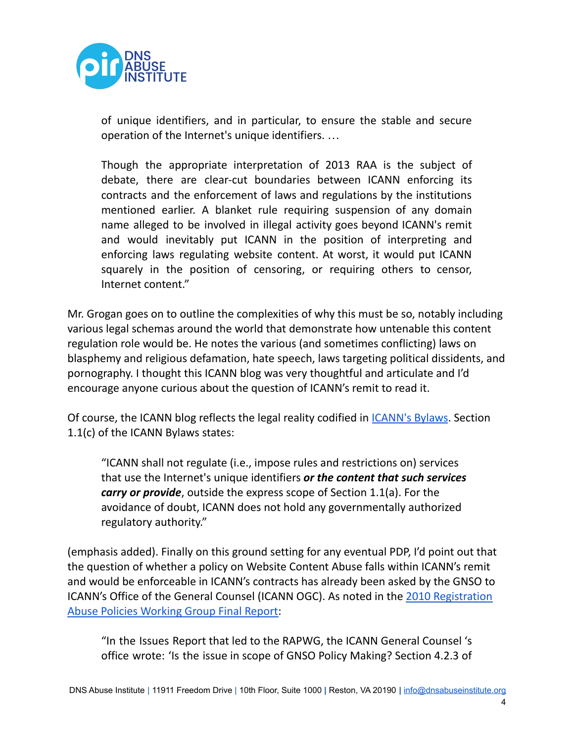

of unique identifiers, and in particular, to ensure the stable and secure operation of the Internet's unique identifiers. …

Though the appropriate interpretation of 2013 RAA is the subject of debate, there are clear-cut boundaries between ICANN enforcing its contracts and the enforcement of laws and regulations by the institutions mentioned earlier. A blanket rule requiring suspension of any domain name alleged to be involved in illegal activity goes beyond ICANN's remit and would inevitably put ICANN in the position of interpreting and enforcing laws regulating website content. At worst, it would put ICANN squarely in the position of censoring, or requiring others to censor, Internet content."

Mr. Grogan goes on to outline the complexities of why this must be so, notably including various legal schemas around the world that demonstrate how untenable this content regulation role would be. He notes the various (and sometimes conflicting) laws on blasphemy and religious defamation, hate speech, laws targeting political dissidents, and pornography. I thought this ICANN blog was very thoughtful and articulate and I'd encourage anyone curious about the question of ICANN's remit to read it.

Of course, the ICANN blog reflects the legal reality codified in [ICANN's](https://www.icann.org/resources/pages/governance/bylaws-en) Bylaws. Section 1.1(c) of the ICANN Bylaws states:

"ICANN shall not regulate (i.e., impose rules and restrictions on) services that use the Internet's unique identifiers *or the content that such services carry or provide*, outside the express scope of Section 1.1(a). For the avoidance of doubt, ICANN does not hold any governmentally authorized regulatory authority."

(emphasis added). Finally on this ground setting for any eventual PDP, I'd point out that the question of whether a policy on Website Content Abuse falls within ICANN's remit and would be enforceable in ICANN's contracts has already been asked by the GNSO to ICANN's Office of the General Counsel (ICANN OGC). As noted in the 2010 [Registration](https://gnso.icann.org/sites/default/files/filefield_12530/rap-wg-final-report-29may10-en.pdf) Abuse Policies [Working](https://gnso.icann.org/sites/default/files/filefield_12530/rap-wg-final-report-29may10-en.pdf) Group Final Report:

"In the Issues Report that led to the RAPWG, the ICANN General Counsel 's office wrote: 'Is the issue in scope of GNSO Policy Making? Section 4.2.3 of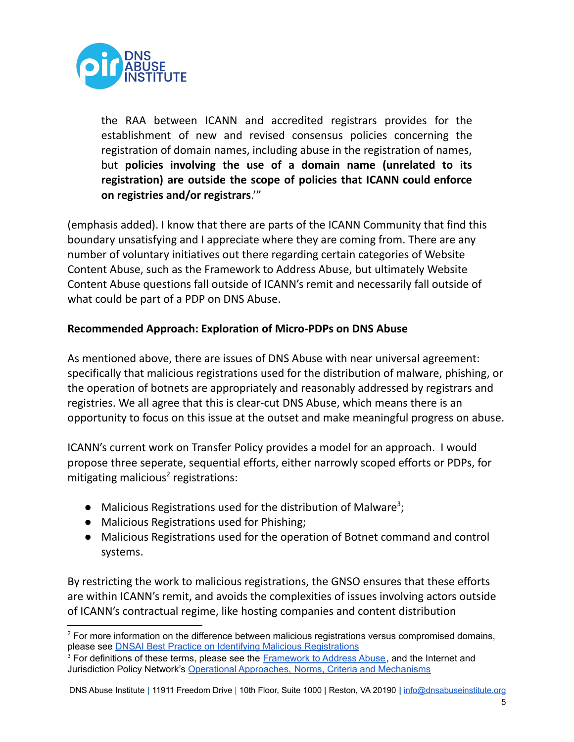

the RAA between ICANN and accredited registrars provides for the establishment of new and revised consensus policies concerning the registration of domain names, including abuse in the registration of names, but **policies involving the use of a domain name (unrelated to its registration) are outside the scope of policies that ICANN could enforce on registries and/or registrars**.'"

(emphasis added). I know that there are parts of the ICANN Community that find this boundary unsatisfying and I appreciate where they are coming from. There are any number of voluntary initiatives out there regarding certain categories of Website Content Abuse, such as the Framework to Address Abuse, but ultimately Website Content Abuse questions fall outside of ICANN's remit and necessarily fall outside of what could be part of a PDP on DNS Abuse.

### **Recommended Approach: Exploration of Micro-PDPs on DNS Abuse**

As mentioned above, there are issues of DNS Abuse with near universal agreement: specifically that malicious registrations used for the distribution of malware, phishing, or the operation of botnets are appropriately and reasonably addressed by registrars and registries. We all agree that this is clear-cut DNS Abuse, which means there is an opportunity to focus on this issue at the outset and make meaningful progress on abuse.

ICANN's current work on Transfer Policy provides a model for an approach. I would propose three seperate, sequential efforts, either narrowly scoped efforts or PDPs, for mitigating malicious<sup>2</sup> registrations:

- $\bullet$  Malicious Registrations used for the distribution of Malware<sup>3</sup>;
- Malicious Registrations used for Phishing;
- Malicious Registrations used for the operation of Botnet command and control systems.

By restricting the work to malicious registrations, the GNSO ensures that these efforts are within ICANN's remit, and avoids the complexities of issues involving actors outside of ICANN's contractual regime, like hosting companies and content distribution

<sup>&</sup>lt;sup>2</sup> For more information on the difference between malicious registrations versus compromised domains, please see DNSAI Best Practice on Identifying Malicious [Registrations](https://dnsabuseinstitute.org/best-practices-identification-mitigation-of-dns-abuse/)

<sup>&</sup>lt;sup>3</sup> For definitions of these terms, please see the **[Framework](https://dnsabuseframework.org/media/files/2020-05-29_DNSAbuseFramework.pdf) to Address Abuse**, and the Internet and Jurisdiction Policy Network's Operational [Approaches,](https://www.internetjurisdiction.net/uploads/pdfs/Papers/Domains-Jurisdiction-Program-Operational-Approaches.pdf) Norms, Criteria and Mechanisms